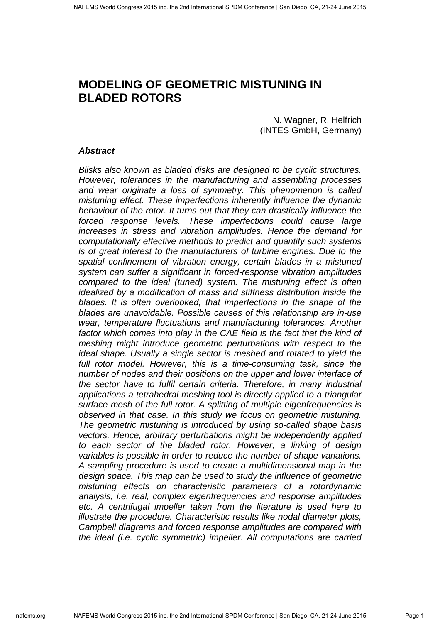# **MODELING OF GEOMETRIC MISTUNING IN BLADED ROTORS**

N. Wagner, R. Helfrich (INTES GmbH, Germany)

### **Abstract**

Blisks also known as bladed disks are designed to be cyclic structures. However, tolerances in the manufacturing and assembling processes and wear originate a loss of symmetry. This phenomenon is called mistuning effect. These imperfections inherently influence the dynamic behaviour of the rotor. It turns out that they can drastically influence the forced response levels. These imperfections could cause large increases in stress and vibration amplitudes. Hence the demand for computationally effective methods to predict and quantify such systems is of great interest to the manufacturers of turbine engines. Due to the spatial confinement of vibration energy, certain blades in a mistuned system can suffer a significant in forced-response vibration amplitudes compared to the ideal (tuned) system. The mistuning effect is often idealized by a modification of mass and stiffness distribution inside the blades. It is often overlooked, that imperfections in the shape of the blades are unavoidable. Possible causes of this relationship are in-use wear, temperature fluctuations and manufacturing tolerances. Another factor which comes into play in the CAE field is the fact that the kind of meshing might introduce geometric perturbations with respect to the ideal shape. Usually a single sector is meshed and rotated to yield the full rotor model. However, this is a time-consuming task, since the number of nodes and their positions on the upper and lower interface of the sector have to fulfil certain criteria. Therefore, in many industrial applications a tetrahedral meshing tool is directly applied to a triangular surface mesh of the full rotor. A splitting of multiple eigenfrequencies is observed in that case. In this study we focus on geometric mistuning. The geometric mistuning is introduced by using so-called shape basis vectors. Hence, arbitrary perturbations might be independently applied to each sector of the bladed rotor. However, a linking of design variables is possible in order to reduce the number of shape variations. A sampling procedure is used to create a multidimensional map in the design space. This map can be used to study the influence of geometric mistuning effects on characteristic parameters of a rotordynamic analysis, i.e. real, complex eigenfrequencies and response amplitudes etc. A centrifugal impeller taken from the literature is used here to illustrate the procedure. Characteristic results like nodal diameter plots, Campbell diagrams and forced response amplitudes are compared with the ideal (i.e. cyclic symmetric) impeller. All computations are carried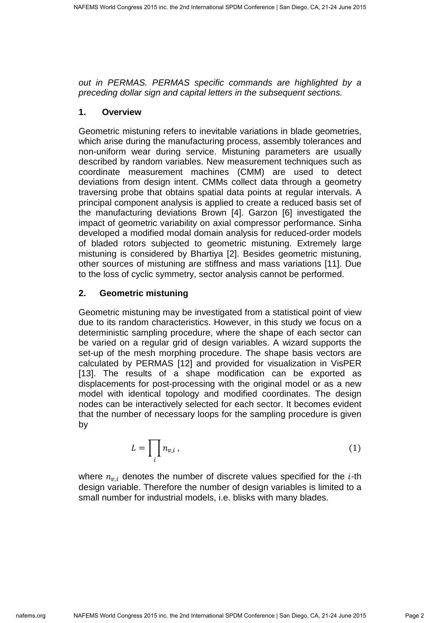out in PERMAS. PERMAS specific commands are highlighted by a preceding dollar sign and capital letters in the subsequent sections.

# **1. Overview**

Geometric mistuning refers to inevitable variations in blade geometries, which arise during the manufacturing process, assembly tolerances and non-uniform wear during service. Mistuning parameters are usually described by random variables. New measurement techniques such as coordinate measurement machines (CMM) are used to detect deviations from design intent. CMMs collect data through a geometry traversing probe that obtains spatial data points at regular intervals. A principal component analysis is applied to create a reduced basis set of the manufacturing deviations Brown [4]. Garzon [6] investigated the impact of geometric variability on axial compressor performance. Sinha developed a modified modal domain analysis for reduced-order models of bladed rotors subjected to geometric mistuning. Extremely large mistuning is considered by Bhartiya [2]. Besides geometric mistuning, other sources of mistuning are stiffness and mass variations [11]. Due to the loss of cyclic symmetry, sector analysis cannot be performed.

# **2. Geometric mistuning**

Geometric mistuning may be investigated from a statistical point of view due to its random characteristics. However, in this study we focus on a deterministic sampling procedure, where the shape of each sector can be varied on a regular grid of design variables. A wizard supports the set-up of the mesh morphing procedure. The shape basis vectors are calculated by PERMAS [12] and provided for visualization in VisPER [13]. The results of a shape modification can be exported as displacements for post-processing with the original model or as a new model with identical topology and modified coordinates. The design nodes can be interactively selected for each sector. It becomes evident that the number of necessary loops for the sampling procedure is given by

$$
L = \prod_i n_{v,i} \tag{1}
$$

where  $n_{ni}$  denotes the number of discrete values specified for the *i*-th design variable. Therefore the number of design variables is limited to a small number for industrial models, i.e. blisks with many blades.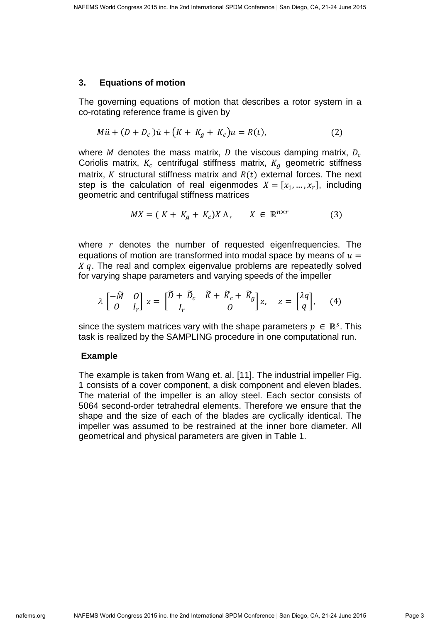#### **3. Equations of motion**

The governing equations of motion that describes a rotor system in a co-rotating reference frame is given by

$$
M\ddot{u} + (D + D_c)\dot{u} + (K + K_g + K_c)u = R(t),
$$
\n(2)

where M denotes the mass matrix, D the viscous damping matrix,  $D_c$ Coriolis matrix,  $K_c$  centrifugal stiffness matrix,  $K_g$  geometric stiffness matrix,  $K$  structural stiffness matrix and  $R(t)$  external forces. The next step is the calculation of real eigenmodes  $X = [x_1, ..., x_r]$ , including geometric and centrifugal stiffness matrices

$$
MX = (K + K_g + K_c)X \Lambda, \qquad X \in \mathbb{R}^{n \times r}
$$
 (3)

where  $r$  denotes the number of requested eigenfrequencies. The equations of motion are transformed into modal space by means of  $u =$  $X$   $q$ . The real and complex eigenvalue problems are repeatedly solved for varying shape parameters and varying speeds of the impeller

$$
\lambda \begin{bmatrix} -\widetilde{M} & 0 \\ 0 & I_r \end{bmatrix} z = \begin{bmatrix} \widetilde{D} + \widetilde{D}_c & \widetilde{K} + \widetilde{K}_c + \widetilde{K}_g \\ I_r & 0 \end{bmatrix} z, \quad z = \begin{bmatrix} \lambda q \\ q \end{bmatrix}, \quad (4)
$$

since the system matrices vary with the shape parameters  $p \in \mathbb{R}^s$ . This task is realized by the SAMPLING procedure in one computational run.

#### **Example**

The example is taken from Wang et. al. [11]. The industrial impeller Fig. 1 consists of a cover component, a disk component and eleven blades. The material of the impeller is an alloy steel. Each sector consists of 5064 second-order tetrahedral elements. Therefore we ensure that the shape and the size of each of the blades are cyclically identical. The impeller was assumed to be restrained at the inner bore diameter. All geometrical and physical parameters are given in Table 1.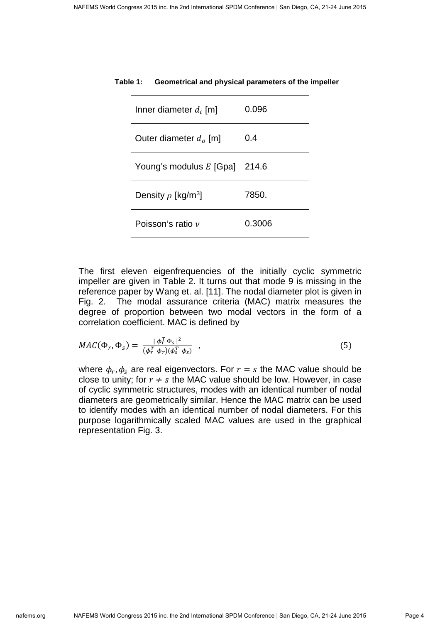| Inner diameter $d_i$ [m]            | 0.096  |
|-------------------------------------|--------|
| Outer diameter $d_o$ [m]            | 0.4    |
| Young's modulus E [Gpa]             | 214.6  |
| Density $\rho$ [kg/m <sup>3</sup> ] | 7850.  |
| Poisson's ratio $\nu$               | 0.3006 |

#### **Table 1: Geometrical and physical parameters of the impeller**

The first eleven eigenfrequencies of the initially cyclic symmetric impeller are given in Table 2. It turns out that mode 9 is missing in the reference paper by Wang et. al. [11]. The nodal diameter plot is given in Fig. 2. The modal assurance criteria (MAC) matrix measures the degree of proportion between two modal vectors in the form of a correlation coefficient. MAC is defined by

$$
MAC(\Phi_r, \Phi_s) = \frac{|\phi_r^{\mathrm{T}} \Phi_s|^2}{(\phi_r^{\mathrm{T}} \phi_r)(\phi_s^{\mathrm{T}} \phi_s)} \tag{5}
$$

where  $\phi_r, \phi_s$  are real eigenvectors. For  $r=s$  the MAC value should be close to unity; for  $r \neq s$  the MAC value should be low. However, in case of cyclic symmetric structures, modes with an identical number of nodal diameters are geometrically similar. Hence the MAC matrix can be used to identify modes with an identical number of nodal diameters. For this purpose logarithmically scaled MAC values are used in the graphical representation Fig. 3.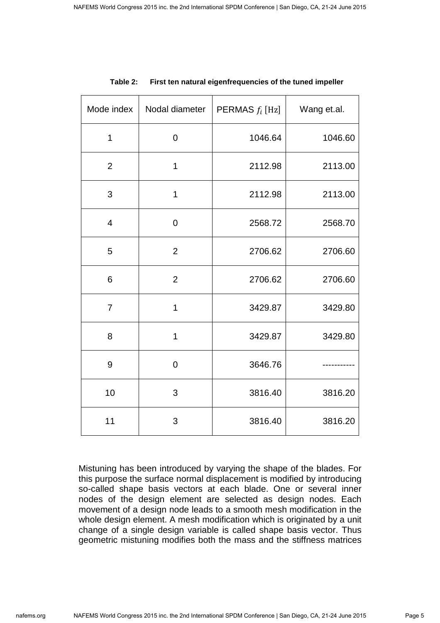| Mode index       | Nodal diameter | PERMAS $f_i$ [Hz] | Wang et.al. |
|------------------|----------------|-------------------|-------------|
| 1                | $\mathbf 0$    | 1046.64           | 1046.60     |
| $\overline{2}$   | 1              | 2112.98           | 2113.00     |
| 3                | 1              | 2112.98           | 2113.00     |
| $\overline{4}$   | $\mathbf 0$    | 2568.72           | 2568.70     |
| 5                | $\overline{2}$ | 2706.62           | 2706.60     |
| $\,6$            | $\overline{2}$ | 2706.62           | 2706.60     |
| $\overline{7}$   | 1              | 3429.87           | 3429.80     |
| 8                | 1              | 3429.87           | 3429.80     |
| $\boldsymbol{9}$ | $\mathbf 0$    | 3646.76           |             |
| 10               | 3              | 3816.40           | 3816.20     |
| 11               | 3              | 3816.40           | 3816.20     |

|  | Table 2: | First ten natural eigenfrequencies of the tuned impeller |
|--|----------|----------------------------------------------------------|
|--|----------|----------------------------------------------------------|

Mistuning has been introduced by varying the shape of the blades. For this purpose the surface normal displacement is modified by introducing so-called shape basis vectors at each blade. One or several inner nodes of the design element are selected as design nodes. Each movement of a design node leads to a smooth mesh modification in the whole design element. A mesh modification which is originated by a unit change of a single design variable is called shape basis vector. Thus geometric mistuning modifies both the mass and the stiffness matrices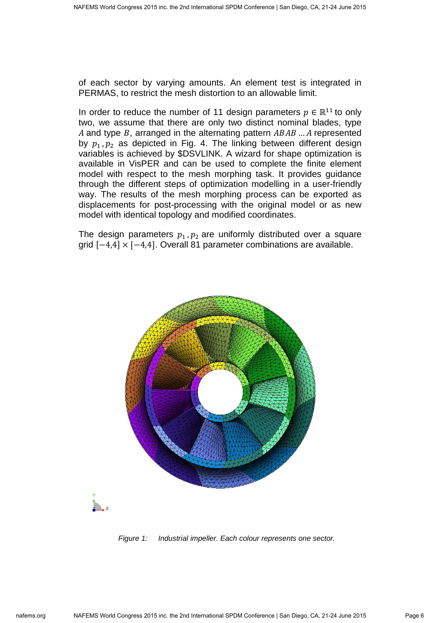of each sector by varying amounts. An element test is integrated in PERMAS, to restrict the mesh distortion to an allowable limit.

In order to reduce the number of 11 design parameters  $p \in \mathbb{R}^{11}$  to only two, we assume that there are only two distinct nominal blades, type A and type B, arranged in the alternating pattern  $ABAB$  ... A represented by  $p_1, p_2$  as depicted in Fig. 4. The linking between different design variables is achieved by \$DSVLINK. A wizard for shape optimization is available in VisPER and can be used to complete the finite element model with respect to the mesh morphing task. It provides guidance through the different steps of optimization modelling in a user-friendly way. The results of the mesh morphing process can be exported as displacements for post-processing with the original model or as new model with identical topology and modified coordinates.

The design parameters  $p_1, p_2$  are uniformly distributed over a square grid  $[-4,4] \times [-4,4]$ . Overall 81 parameter combinations are available.



Figure 1: Industrial impeller. Each colour represents one sector.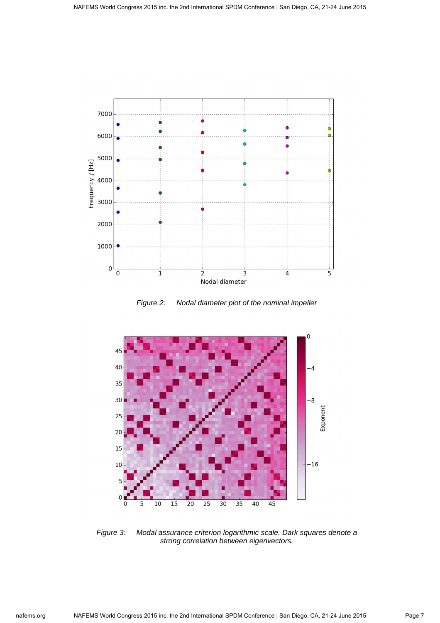

Figure 2: Nodal diameter plot of the nominal impeller



Figure 3: Modal assurance criterion logarithmic scale. Dark squares denote a strong correlation between eigenvectors.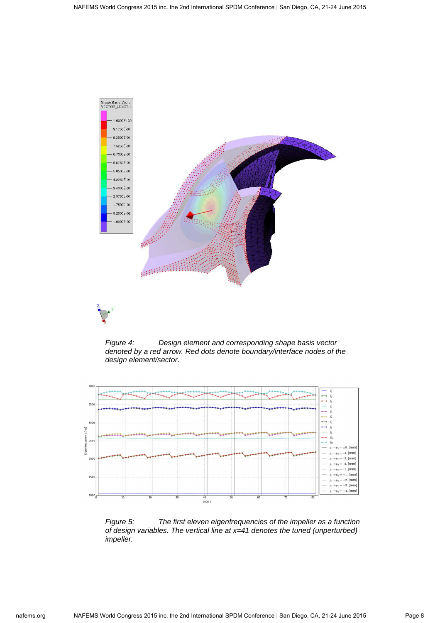

Figure 4: Design element and corresponding shape basis vector denoted by a red arrow. Red dots denote boundary/interface nodes of the design element/sector.



Figure 5: The first eleven eigenfrequencies of the impeller as a function of design variables. The vertical line at x=41 denotes the tuned (unperturbed) impeller.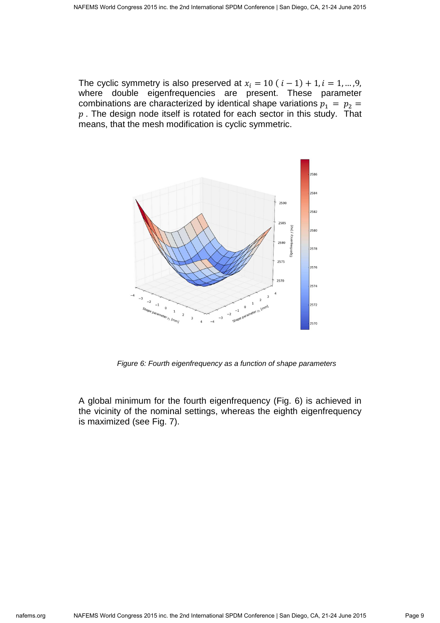The cyclic symmetry is also preserved at  $x_i = 10$  ( $i - 1$ ) + 1,  $i = 1, ..., 9$ , where double eigenfrequencies are present. These parameter combinations are characterized by identical shape variations  $p_1 = p_2 =$  $p$ . The design node itself is rotated for each sector in this study. That means, that the mesh modification is cyclic symmetric.



Figure 6: Fourth eigenfrequency as a function of shape parameters

A global minimum for the fourth eigenfrequency (Fig. 6) is achieved in the vicinity of the nominal settings, whereas the eighth eigenfrequency is maximized (see Fig. 7).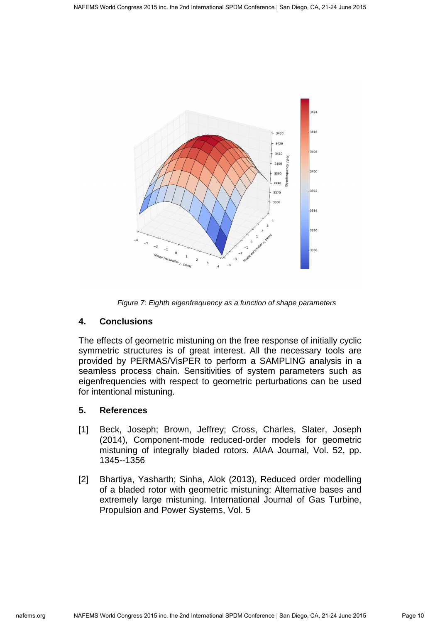

Figure 7: Eighth eigenfrequency as a function of shape parameters

## **4. Conclusions**

The effects of geometric mistuning on the free response of initially cyclic symmetric structures is of great interest. All the necessary tools are provided by PERMAS/VisPER to perform a SAMPLING analysis in a seamless process chain. Sensitivities of system parameters such as eigenfrequencies with respect to geometric perturbations can be used for intentional mistuning.

## **5. References**

- [1] Beck, Joseph; Brown, Jeffrey; Cross, Charles, Slater, Joseph (2014), Component-mode reduced-order models for geometric mistuning of integrally bladed rotors. AIAA Journal, Vol. 52, pp. 1345--1356
- [2] Bhartiya, Yasharth; Sinha, Alok (2013), Reduced order modelling of a bladed rotor with geometric mistuning: Alternative bases and extremely large mistuning. International Journal of Gas Turbine, Propulsion and Power Systems, Vol. 5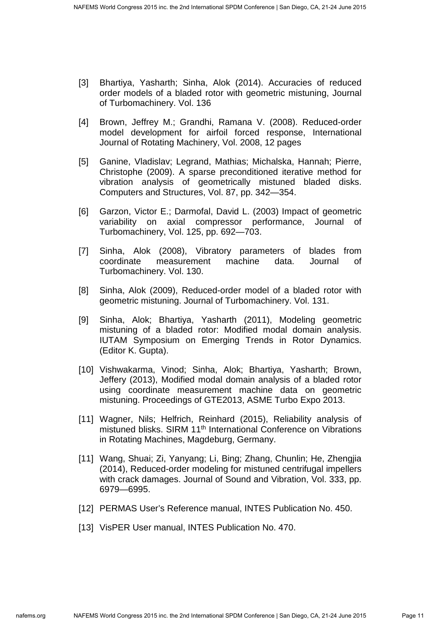- [3] Bhartiya, Yasharth; Sinha, Alok (2014). Accuracies of reduced order models of a bladed rotor with geometric mistuning, Journal of Turbomachinery. Vol. 136
- [4] Brown, Jeffrey M.; Grandhi, Ramana V. (2008). Reduced-order model development for airfoil forced response, International Journal of Rotating Machinery, Vol. 2008, 12 pages
- [5] Ganine, Vladislav; Legrand, Mathias; Michalska, Hannah; Pierre, Christophe (2009). A sparse preconditioned iterative method for vibration analysis of geometrically mistuned bladed disks. Computers and Structures, Vol. 87, pp. 342—354.
- [6] Garzon, Victor E.; Darmofal, David L. (2003) Impact of geometric variability on axial compressor performance, Journal of Turbomachinery, Vol. 125, pp. 692—703.
- [7] Sinha, Alok (2008), Vibratory parameters of blades from coordinate measurement machine data. Journal of Turbomachinery. Vol. 130.
- [8] Sinha, Alok (2009), Reduced-order model of a bladed rotor with geometric mistuning. Journal of Turbomachinery. Vol. 131.
- [9] Sinha, Alok; Bhartiya, Yasharth (2011), Modeling geometric mistuning of a bladed rotor: Modified modal domain analysis. IUTAM Symposium on Emerging Trends in Rotor Dynamics. (Editor K. Gupta).
- [10] Vishwakarma, Vinod; Sinha, Alok; Bhartiya, Yasharth; Brown, Jeffery (2013), Modified modal domain analysis of a bladed rotor using coordinate measurement machine data on geometric mistuning. Proceedings of GTE2013, ASME Turbo Expo 2013.
- [11] Wagner, Nils; Helfrich, Reinhard (2015), Reliability analysis of mistuned blisks. SIRM 11<sup>th</sup> International Conference on Vibrations in Rotating Machines, Magdeburg, Germany.
- [11] Wang, Shuai; Zi, Yanyang; Li, Bing; Zhang, Chunlin; He, Zhengjia (2014), Reduced-order modeling for mistuned centrifugal impellers with crack damages. Journal of Sound and Vibration, Vol. 333, pp. 6979—6995.
- [12] PERMAS User's Reference manual, INTES Publication No. 450.
- [13] VisPER User manual, INTES Publication No. 470.